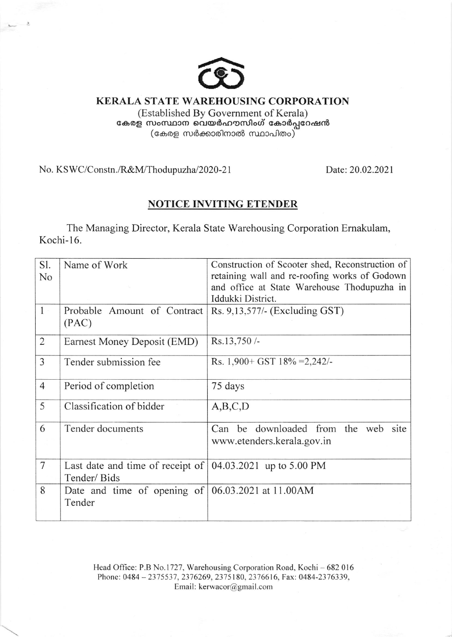

**KERALA STATE WAREHOUSING CORPORATION** 

(Established By Government of Kerala) കേരള സംസ്ഥാന വെയർഹൗസിംഗ് കോർപ്പറേഷൻ<br>കേരള സംസ്ഥാന വെയർഹൗസിംഗ് കോർപ്പറേഷൻ

No. KSWC/Constn./R&M/Thodupuzha/2020-21

Date: 20.02.2021

## **NOTICE INVITING ETENDER**

The Managing Director, Kerala State Warehousing Corporation Ernakulam, Kochi-16.

| Sl.            | Name of Work                                                                                  | Construction of Scooter shed, Reconstruction of |
|----------------|-----------------------------------------------------------------------------------------------|-------------------------------------------------|
| N <sub>0</sub> |                                                                                               | retaining wall and re-roofing works of Godown   |
|                |                                                                                               | and office at State Warehouse Thodupuzha in     |
|                |                                                                                               | Iddukki District.                               |
| $\mathbf{1}$   | Probable Amount of Contract<br>(PAC)                                                          | Rs. 9,13,577/- (Excluding GST)                  |
| $\overline{2}$ | Earnest Money Deposit (EMD)                                                                   | Rs.13,750/-                                     |
| 3              | Tender submission fee                                                                         | Rs. $1,900+$ GST $18\% = 2,242/$                |
| $\overline{4}$ | Period of completion                                                                          | 75 days                                         |
| 5              | Classification of bidder                                                                      | A,B,C,D                                         |
| 6              | Tender documents                                                                              | Can be downloaded from the web site             |
|                |                                                                                               | www.etenders.kerala.gov.in                      |
| $\overline{7}$ | Last date and time of receipt of $(04.03.2021 \text{ up to } 5.00 \text{ PM})$<br>Tender/Bids |                                                 |
| 8              | Date and time of opening of<br>Tender                                                         | 06.03.2021 at 11.00AM                           |
|                |                                                                                               |                                                 |

Head Office: P.B No.1727, Warehousing Corporation Road, Kochi - 682 016 Phone: 0484-2375537, 2376269, 2375180, 2376616, Fax: 0484-2376339, Email: kerwacor@gmail.com